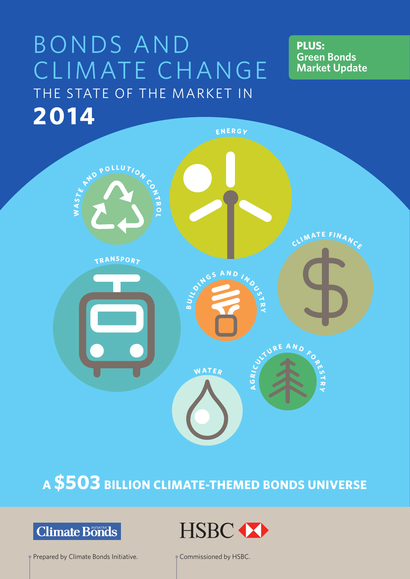# BONDS AND CLIMATE CHANGE THE STATE OF THE MARKET IN **2014**

**PLUS: Green Bonds Market Update**



## **A \$503 BILLION CLIMATE-THEMED BONDS UNIVERSE**

## **Climate Bonds**

Prepared by Climate Bonds Initiative. Commissioned by HSBC.

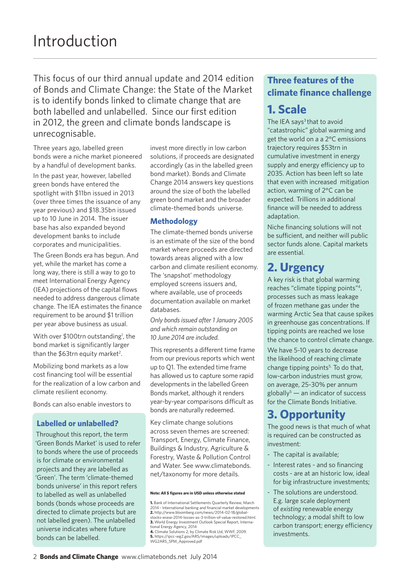This focus of our third annual update and 2014 edition of Bonds and Climate Change: the State of the Market is to identify bonds linked to climate change that are both labelled and unlabelled. Since our first edition in 2012, the green and climate bonds landscape is unrecognisable.

Three years ago, labelled green bonds were a niche market pioneered by a handful of development banks.

In the past year, however, labelled green bonds have entered the spotlight with \$11bn issued in 2013 (over three times the issuance of any year previous) and \$18.35bn issued up to 10 June in 2014. The issuer base has also expanded beyond development banks to include corporates and municipalities.

The Green Bonds era has begun. And yet, while the market has come a long way, there is still a way to go to meet International Energy Agency (IEA) projections of the capital flows needed to address dangerous climate change. The IEA estimates the finance requirement to be around \$1 trillion per year above business as usual.

With over \$100trn outstanding<sup>1</sup>, the bond market is significantly larger than the  $$63$ trn equity market<sup>2</sup>.

Mobilizing bond markets as a low cost financing tool will be essential for the realization of a low carbon and climate resilient economy.

Bonds can also enable investors to

#### **Labelled or unlabelled?**

Throughout this report, the term 'Green Bonds Market' is used to refer to bonds where the use of proceeds is for climate or environmental projects and they are labelled as 'Green'. The term 'climate-themed bonds universe' in this report refers to labelled as well as unlabelled bonds (bonds whose proceeds are directed to climate projects but are not labelled green). The unlabelled universe indicates where future bonds can be labelled.

invest more directly in low carbon solutions, if proceeds are designated accordingly (as in the labelled green bond market). Bonds and Climate Change 2014 answers key questions around the size of both the labelled green bond market and the broader climate-themed bonds universe.

#### **Methodology**

The climate-themed bonds universe is an estimate of the size of the bond market where proceeds are directed towards areas aligned with a low carbon and climate resilient economy. The 'snapshot' methodology employed screens issuers and, where available, use of proceeds documentation available on market databases.

*Only bonds issued after 1 January 2005 and which remain outstanding on 10 June 2014 are included.* 

This represents a different time frame from our previous reports which went up to Q1. The extended time frame has allowed us to capture some rapid developments in the labelled Green Bonds market, although it renders year-by-year comparisons difficult as bonds are naturally redeemed.

Key climate change solutions across seven themes are screened: Transport, Energy, Climate Finance, Buildings & Industry, Agriculture & Forestry, Waste & Pollution Control and Water. See www.climatebonds. net/taxonomy for more details.

#### **Note: All \$ figures are in USD unless otherwise stated**

**1.** Bank of International Settlements Quarterly Review, March 2014 - International banking and financial market developments **2.** http://www.bloomberg.com/news/2014-02-18/global-stocks-erase-2014-losses-as-3-trillion-of-value-restored.html. **3.** World Energy Investment Outlook Special Report, International Energy Agency, 2014 **4.** Climate Solutions 2, by Climate Risk Ltd, WWF, 2009. **5.** https://ipcc-wg2.gov/AR5/images/uploads/IPCC\_ WG2AR5\_SPM\_Approved.pdf

### **Three features of the climate finance challenge**

### **1. Scale**

The IEA says $3$  that to avoid "catastrophic" global warming and get the world on a a 2°C emissions trajectory requires \$53trn in cumulative investment in energy supply and energy efficiency up to 2035. Action has been left so late that even with increased mitigation action, warming of 2°C can be expected. Trillions in additional finance will be needed to address adaptation.

Niche financing solutions will not be sufficient, and neither will public sector funds alone. Capital markets are essential.

### **2. Urgency**

A key risk is that global warming reaches "climate tipping points"4, processes such as mass leakage of frozen methane gas under the warming Arctic Sea that cause spikes in greenhouse gas concentrations. If tipping points are reached we lose the chance to control climate change.

We have 5-10 years to decrease the likelihood of reaching climate change tipping points $5.$  To do that, low-carbon industries must grow, on average, 25-30% per annum  $g$ lobally<sup>5</sup> — an indicator of success for the Climate Bonds Initiative.

### **3. Opportunity**

The good news is that much of what is required can be constructed as investment:

- The capital is available;
- Interest rates and so financing costs - are at an historic low, ideal for big infrastructure investments;
- The solutions are understood. E.g. large scale deployment of *existing* renewable energy technology; a modal shift to low carbon transport; energy efficiency investments.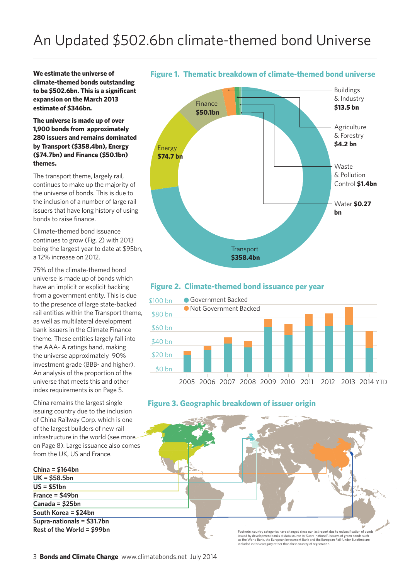**We estimate the universe of climate-themed bonds outstanding to be \$502.6bn. This is a significant expansion on the March 2013 estimate of \$346bn.** 

#### **The universe is made up of over 1,900 bonds from approximately 280 issuers and remains dominated by Transport (\$358.4bn), Energy (\$74.7bn) and Finance (\$50.1bn) themes.**

The transport theme, largely rail, continues to make up the majority of the universe of bonds. This is due to the inclusion of a number of large rail issuers that have long history of using bonds to raise finance.

Climate-themed bond issuance continues to grow (Fig. 2) with 2013 being the largest year to date at \$95bn, a 12% increase on 2012.

75% of the climate-themed bond universe is made up of bonds which have an implicit or explicit backing from a government entity. This is due to the presence of large state-backed rail entities within the Transport theme, as well as multilateral development bank issuers in the Climate Finance theme. These entities largely fall into the AAA- A ratings band, making the universe approximately 90% investment grade (BBB- and higher). An analysis of the proportion of the universe that meets this and other index requirements is on Page 5.

China remains the largest single issuing country due to the inclusion of China Railway Corp. which is one of the largest builders of new rail infrastructure in the world (see more on Page 8). Large issuance also comes from the UK, US and France.

#### **China = \$164bn UK = \$58.5bn US = \$51bn France = \$49bn Canada = \$25bn South Korea = \$24bn Supra-nationals = \$31.7bn**



**Figure 1. Thematic breakdown of climate-themed bond universe**

#### **Figure 2. Climate-themed bond issuance per year**





**Rest of the World = \$99bn**<br>
Footnote: country categories have changed since our last report due to reclassification of bonds<br>
issued by development banks at data source to 'Supra-national'. Issuers of green bonds such<br>
in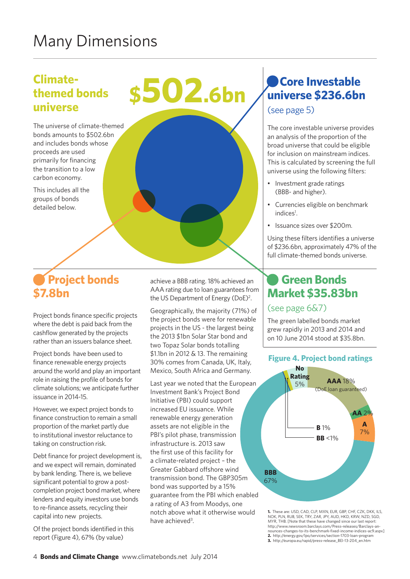## Many Dimensions

### **Climatethemed bonds universe**

The universe of climate-themed bonds amounts to \$502.6bn and includes bonds whose proceeds are used primarily for financing the transition to a low carbon economy.

This includes all the groups of bonds detailed below.

## **Project bonds \$7.8bn**

Project bonds finance specific projects where the debt is paid back from the cashflow generated by the projects rather than an issuers balance sheet.

Project bonds have been used to finance renewable energy projects around the world and play an important role in raising the profile of bonds for climate solutions; we anticipate further issuance in 2014-15.

However, we expect project bonds to finance construction to remain a small proportion of the market partly due to institutional investor reluctance to taking on construction risk.

Debt finance for project development is, and we expect will remain, dominated by bank lending. There is, we believe significant potential to grow a postcompletion project bond market, where lenders and equity investors use bonds to re-finance assets, recycling their capital into new projects.

Of the project bonds identified in this report (Figure 4), 67% (by value)

achieve a BBB rating. 18% achieved an AAA rating due to loan guarantees from the US Department of Energy (DoE)<sup>2</sup>.

**\$502.6bn** 

Geographically, the majority (71%) of the project bonds were for renewable projects in the US - the largest being the 2013 \$1bn Solar Star bond and two Topaz Solar bonds totalling \$1.1bn in 2012 & 13. The remaining 30% comes from Canada, UK, Italy, Mexico, South Africa and Germany.

Last year we noted that the European Investment Bank's Project Bond Initiative (PBI) could support increased EU issuance. While renewable energy generation assets are not eligible in the PBI's pilot phase, transmission infrastructure is. 2013 saw the first use of this facility for a climate-related project – the Greater Gabbard offshore wind transmission bond. The GBP305m bond was supported by a 15% guarantee from the PBI which enabled a rating of A3 from Moodys, one notch above what it otherwise would have achieved<sup>3</sup>.

## **Core Investable universe \$236.6bn**

(see page 5)

The core investable universe provides an analysis of the proportion of the broad universe that could be eligible for inclusion on mainstream indices. This is calculated by screening the full universe using the following filters:

- Investment grade ratings (BBB- and higher).
- Currencies eligible on benchmark indices<sup>1</sup>.
- Issuance sizes over \$200m.

Using these filters identifies a universe of \$236.6bn, approximately 47% of the full climate-themed bonds universe.

### **Green Bonds Market \$35.83bn**

#### (see page 6&7)

The green labelled bonds market grew rapidly in 2013 and 2014 and on 10 June 2014 stood at \$35.8bn.

#### **Figure 4. Project bond ratings**



**1.** These are: USD, CAD, CLP, MXN, EUR, GBP, CHF, CZK, DKK, ILS, NOK, PLN, RUB, SEK, TRY, ZAR, JPY, AUD, HKD, KRW, NZD, SGD, MYR, THB. [Note that these have changed since our last report: http://www.newsroom.barclays.com/Press-releases/Barclays-an-nounces-changes-to-its-benchmark-fixed-income-indices-ac9.aspx] **2.** http://energy.gov/lpo/services/section-1703-loan-program **3.** http://europa.eu/rapid/press-release\_BEI-13-204\_en.htm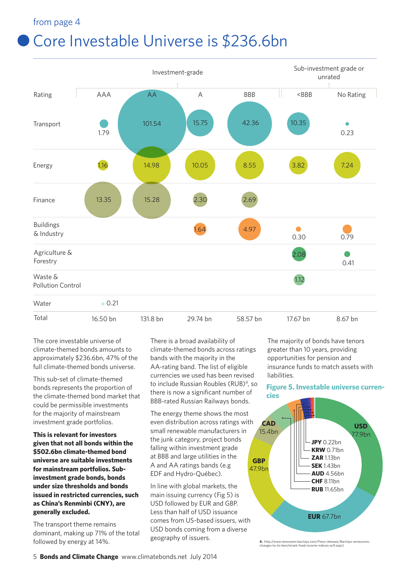#### from page 4

## Core Investable Universe is \$236.6bn



The core investable universe of climate-themed bonds amounts to approximately \$236.6bn, 47% of the full climate-themed bonds universe.

This sub-set of climate-themed bonds represents the proportion of the climate-themed bond market that could be permissible investments for the majority of mainstream investment grade portfolios.

**This is relevant for investors given that not all bonds within the \$502.6bn climate-themed bond universe are suitable investments for mainstream portfolios. Subinvestment grade bonds, bonds under size thresholds and bonds issued in restricted currencies, such as China's Renminbi (CNY), are generally excluded.**

The transport theme remains dominant, making up 71% of the total followed by energy at 14%.

There is a broad availability of climate-themed bonds across ratings bands with the majority in the AA-rating band. The list of eligible currencies we used has been revised to include Russian Roubles (RUB)<sup>4</sup>, so there is now a significant number of BBB-rated Russian Railways bonds.

The energy theme shows the most even distribution across ratings with small renewable manufacturers in the junk category, project bonds falling within investment grade at BBB and large utilities in the A and AA ratings bands (e.g EDF and Hydro-Québec).

In line with global markets, the main issuing currency (Fig 5) is USD followed by EUR and GBP. Less than half of USD issuance comes from US-based issuers, with USD bonds coming from a diverse geography of issuers.

The majority of bonds have tenors greater than 10 years, providing opportunities for pension and insurance funds to match assets with liabilities.

#### **Figure 5. Investable universe currencies**



**4.** http://www.newsroom.barclays.com/Press-releases/Barclays-announces-changes-to-its-benchmark-fixed-income-indices-ac9.aspx]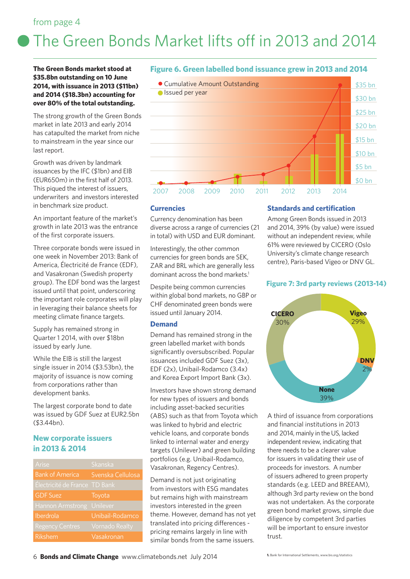#### from page 4

# The Green Bonds Market lifts off in 2013 and 2014

**The Green Bonds market stood at \$35.8bn outstanding on 10 June 2014, with issuance in 2013 (\$11bn) and 2014 (\$18.3bn) accounting for over 80% of the total outstanding.**

The strong growth of the Green Bonds market in late 2013 and early 2014 has catapulted the market from niche to mainstream in the year since our last report.

Growth was driven by landmark issuances by the IFC (\$1bn) and EIB (EUR650m) in the first half of 2013. This piqued the interest of issuers, underwriters and investors interested in benchmark size product.

An important feature of the market's growth in late 2013 was the entrance of the first corporate issuers.

Three corporate bonds were issued in one week in November 2013: Bank of America, Électricité de France (EDF), and Vasakronan (Swedish property group). The EDF bond was the largest issued until that point, underscoring the important role corporates will play in leveraging their balance sheets for meeting climate finance targets.

Supply has remained strong in Quarter 1 2014, with over \$18bn issued by early June.

While the EIB is still the largest single issuer in 2014 (\$3.53bn), the majority of issuance is now coming from corporations rather than development banks.

The largest corporate bond to date was issued by GDF Suez at EUR2.5bn (\$3.44bn).

#### **New corporate issuers in 2013 & 2014**

| Arise                   | Skanska               |
|-------------------------|-----------------------|
| <b>Bank of America</b>  | Svenska Cellulosa     |
| Électricité de France   | TD Bank               |
| <b>GDF Suez</b>         | Toyota                |
| <b>Hannon Armstrong</b> | Unilever              |
| Iberdrola               | Unibail-Rodamco       |
| <b>Regency Centres</b>  | <b>Vornado Realty</b> |
| Rikshem                 | Vasakronan            |

#### **Figure 6. Green labelled bond issuance grew in 2013 and 2014**



#### **Currencies**

Currency denomination has been diverse across a range of currencies (21 in total) with USD and EUR dominant.

Interestingly, the other common currencies for green bonds are SEK, ZAR and BRL which are generally less dominant across the bond markets.<sup>1</sup>

Despite being common currencies within global bond markets, no GBP or CHF denominated green bonds were issued until January 2014.

#### **Demand**

Demand has remained strong in the green labelled market with bonds significantly oversubscribed. Popular issuances included GDF Suez (3x), EDF (2x), Unibail-Rodamco (3.4x) and Korea Export Import Bank (3x).

Investors have shown strong demand for new types of issuers and bonds including asset-backed securities (ABS) such as that from Toyota which was linked to hybrid and electric vehicle loans, and corporate bonds linked to internal water and energy targets (Unilever) and green building portfolios (e.g. Unibail-Rodamco, Vasakronan, Regency Centres).

Demand is not just originating from investors with ESG mandates but remains high with mainstream investors interested in the green theme. However, demand has not yet translated into pricing differences pricing remains largely in line with similar bonds from the same issuers.

#### **Standards and certification**

Among Green Bonds issued in 2013 and 2014, 39% (by value) were issued without an independent review, while 61% were reviewed by CICERO (Oslo University's climate change research centre), Paris-based Vigeo or DNV GL.

#### **Figure 7: 3rd party reviews (2013-14)**



A third of issuance from corporations and financial institutions in 2013 and 2014, mainly in the US, lacked independent review, indicating that there needs to be a clearer value for issuers in validating their use of proceeds for investors. A number of issuers adhered to green property standards (e.g. LEED and BREEAM), although 3rd party review on the bond was not undertaken. As the corporate green bond market grows, simple due diligence by competent 3rd parties will be important to ensure investor trust.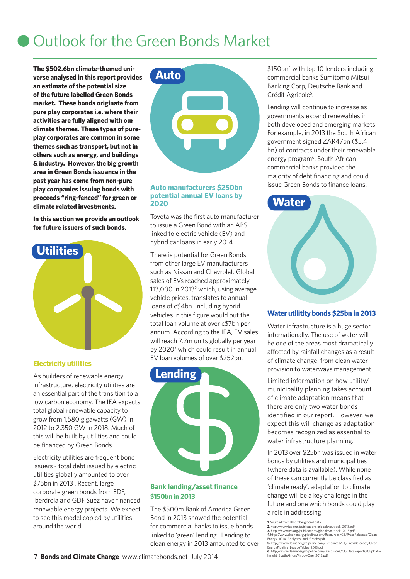## Outlook for the Green Bonds Market

**The \$502.6bn climate-themed universe analysed in this report provides an estimate of the potential size of the future labelled Green Bonds market. These bonds originate from pure play corporates i.e. where their activities are fully aligned with our climate themes. These types of pureplay corporates are common in some themes such as transport, but not in others such as energy, and buildings & industry. However, the big growth area in Green Bonds issuance in the past year has come from non-pure play companies issuing bonds with proceeds "ring-fenced" for green or climate related investments.** 

**In this section we provide an outlook for future issuers of such bonds.**



#### **Electricity utilities**

As builders of renewable energy infrastructure, electricity utilities are an essential part of the transition to a low carbon economy. The IEA expects total global renewable capacity to grow from 1,580 gigawatts (GW) in 2012 to 2,350 GW in 2018. Much of this will be built by utilities and could be financed by Green Bonds.

Electricity utilities are frequent bond issuers - total debt issued by electric utilities globally amounted to over \$75bn in 2013<sup>1</sup>. Recent, large corporate green bonds from EDF, Iberdrola and GDF Suez have financed renewable energy projects. We expect to see this model copied by utilities around the world.



#### **Auto manufacturers \$250bn potential annual EV loans by 2020**

Toyota was the first auto manufacturer to issue a Green Bond with an ABS linked to electric vehicle (EV) and hybrid car loans in early 2014.

There is potential for Green Bonds from other large EV manufacturers such as Nissan and Chevrolet. Global sales of EVs reached approximately 113,000 in 2013<sup>2</sup> which, using average vehicle prices, translates to annual loans of c\$4bn. Including hybrid vehicles in this figure would put the total loan volume at over c\$7bn per annum. According to the IEA, EV sales will reach 7.2m units globally per year by 2020<sup>3</sup> which could result in annual EV loan volumes of over \$252bn.



#### **Bank lending/asset finance \$150bn in 2013**

The \$500m Bank of America Green Bond in 2013 showed the potential for commercial banks to issue bonds linked to 'green' lending. Lending to clean energy in 2013 amounted to over \$150bn<sup>4</sup> with top 10 lenders including commercial banks Sumitomo Mitsui Banking Corp, Deutsche Bank and Crédit Agricole<sup>5</sup>.

Lending will continue to increase as governments expand renewables in both developed and emerging markets. For example, in 2013 the South African government signed ZAR47bn (\$5.4 bn) of contracts under their renewable energy program<sup>6</sup>. South African commercial banks provided the majority of debt financing and could issue Green Bonds to finance loans.



#### **Water utilitity bonds \$25bn in 2013**

Water infrastructure is a huge sector internationally. The use of water will be one of the areas most dramatically affected by rainfall changes as a result of climate change: from clean water provision to waterways management.

Limited information on how utility/ municipality planning takes account of climate adaptation means that there are only two water bonds identified in our report. However, we expect this will change as adaptation becomes recognized as essential to water infrastructure planning.

In 2013 over \$25bn was issued in water bonds by utilities and municipalities (where data is available). While none of these can currently be classified as 'climate ready', adaptation to climate change will be a key challenge in the future and one which bonds could play a role in addressing.

**1.** Sourced from Bloomberg bond data

<sup>2.</sup> http://www.iea.org/publications/globalevoutlook\_2013.pdf<br>3. http://www.iea.org/publications/globalevoutlook\_2013.pdf<br>4.http://www.iclanenergypipeline.com/Resources/CE/PressReleases/Clean\_<br>Energy\_1Q14\_Analytics\_and\_Graph **5.** http://www.cleanenergypipeline.com/Resources/CE/PressReleases/Clean-EnergyPipeline\_LeagueTables\_2013.pdf

**<sup>6.</sup>** http://www.cleanenergypipeline.com/Resources/CE/DataReports/CEpData-Insight\_SouthAfricaWindowOne\_2012.pdf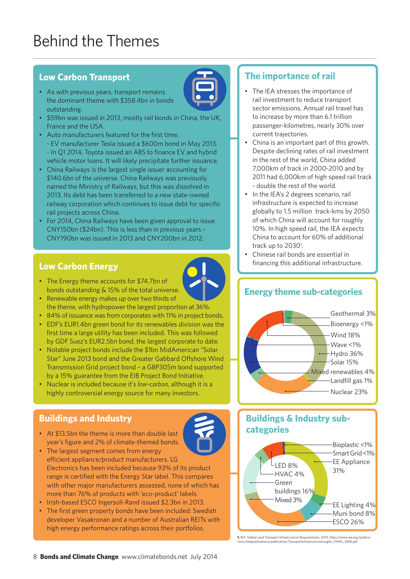## Behind the Themes

#### **Low Carbon Transport**

- As with previous years, transport remains the dominant theme with \$358.4bn in bonds outstanding.
- \$59bn was issued in 2013, mostly rail bonds in China, the UK, France and the USA.
- Auto manufacturers featured for the first time: - EV manufacturer Tesla issued a \$600m bond in May 2013. - In Q1 2014, Toyota issued an ABS to finance EV and hybrid vehicle motor loans. It will likely precipitate further issuance.
- China Railways is the largest single issuer accounting for \$140.6bn of the universe. China Railways was previously named the Ministry of Railways, but this was dissolved in 2013. Its debt has been transferred to a new state-owned railway corporation which continues to issue debt for specific rail projects across China.
- For 2014, China Railways have been given approval to issue CNY150bn (\$24bn). This is less than in previous years – CNY190bn was issued in 2013 and CNY200bn in 2012.

#### **Low Carbon Energy**

- The Energy theme accounts for \$74.7bn of bonds outstanding & 15% of the total universe.
- Renewable energy makes up over two thirds of the theme, with hydropower the largest proportion at 36%.
- 84% of issuance was from corporates with 11% in project bonds.
- EDF's EUR1.4bn green bond for its renewables division was the first time a large utility has been included. This was followed by GDF Suez's EUR2.5bn bond, the largest corporate to date.
- Notable project bonds include the \$1bn MidAmerican "Solar Star" June 2013 bond and the Greater Gabbard Offshore Wind Transmission Grid project bond – a GBP305m bond supported by a 15% guarantee from the EIB Project Bond Initiative.
- Nuclear is included because it's *low-carbon*, although it is a highly controversial energy source for many investors.

#### **Buildings and Industry**

- At \$13.5bn the theme is more than double last year's figure and 2% of climate-themed bonds.
- The largest segment comes from energy efficient appliance/product manufacturers. LG Electronics has been included because 93% of its product range is certified with the Energy Star label. This compares with other major manufacturers assessed, none of which has more than 76% of products with 'eco-product' labels.
- Irish-based ESCO Ingersoll-Rand issued \$2.3bn in 2013.
- The first green property bonds have been included: Swedish developer Vasakronan and a number of Australian REITs with high energy performance ratings across their portfolios.

#### **The importance of rail**

- The IEA stresses the importance of rail investment to reduce transport sector emissions. Annual rail travel has to increase by more than 6.1 trillion passenger-kilometres, nearly 30% over current trajectories.
- China is an important part of this growth. Despite declining rates of rail investment in the rest of the world, China added 7,000km of track in 2000-2010 and by 2011 had 6,000km of high speed rail track - double the rest of the world.
- In the IEA's 2 degrees scenario, rail infrastructure is expected to increase globally to 1.5 million track-kms by 2050 of which China will account for roughly 10%. In high speed rail, the IEA expects China to account for 60% of additional track up to 2030<sup>1</sup>.
- Chinese rail bonds are essential in financing this additional infrastructure.

### **Energy theme sub-categories**



#### **Buildings & Industry subcategories**



**<sup>1.</sup>** IEA. Global Land Transport Infrastructure Requirements, 2013. https://www.iea.org/publica-tions/freepublications/publication/TransportInfrastructureInsights\_FINAL\_WEB.pdf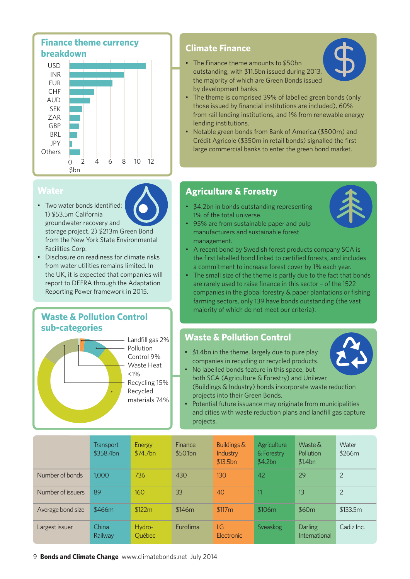**Finance theme currency breakdown**



#### **Water**

- Two water bonds identified: 1) \$53.5m California groundwater recovery and storage project. 2) \$213m Green Bond from the New York State Environmental Facilities Corp.
- Disclosure on readiness for climate risks from water utilities remains limited. In the UK, it is expected that companies will report to DEFRA through the Adaptation Reporting Power framework in 2015.

#### **Waste & Pollution Control sub-categories**



#### **Climate Finance**

• The Finance theme amounts to \$50bn outstanding, with \$11.5bn issued during 2013, the majority of which are Green Bonds issued by development banks.



- The theme is comprised 39% of labelled green bonds (only those issued by financial institutions are included), 60% from rail lending institutions, and 1% from renewable energy lending institutions.
- Notable green bonds from Bank of America (\$500m) and Crédit Agricole (\$350m in retail bonds) signalled the first large commercial banks to enter the green bond market.

### **Agriculture & Forestry**

- \$4.2bn in bonds outstanding representing 1% of the total universe.
- 95% are from sustainable paper and pulp manufacturers and sustainable forest management.



- A recent bond by Swedish forest products company SCA is the first labelled bond linked to certified forests, and includes a commitment to increase forest cover by 1% each year.
- The small size of the theme is partly due to the fact that bonds are rarely used to raise finance in this sector – of the 1522 companies in the global forestry & paper plantations or fishing farming sectors, only 139 have bonds outstanding (the vast majority of which do not meet our criteria).

#### **Waste & Pollution Control**

• \$1.4bn in the theme, largely due to pure play companies in recycling or recycled products.



- No labelled bonds feature in this space, but both SCA (Agriculture & Forestry) and Unilever (Buildings & Industry) bonds incorporate waste reduction projects into their Green Bonds.
- Potential future issuance may originate from municipalities and cities with waste reduction plans and landfill gas capture projects.

|                   | <b>Transport</b><br>\$358.4bn | Energy<br>\$74.7bn | Finance<br>\$50.1bn | Buildings &<br>Industry<br>\$13.5bn | Agriculture<br>& Forestry<br>\$4.2bn | Waste $\&$<br>Pollution<br>\$1.4bn | Water<br>\$266m |
|-------------------|-------------------------------|--------------------|---------------------|-------------------------------------|--------------------------------------|------------------------------------|-----------------|
| Number of bonds   | 1,000                         | 736                | 430                 | 130                                 | 42                                   | 29                                 | 2               |
| Number of issuers | 89                            | 160                | 33                  | 40                                  | 11                                   | 13                                 | 2               |
| Average bond size | \$466m                        | \$122m             | \$146m              | \$117m                              | \$106m                               | \$60m                              | \$133.5m        |
| Largest issuer    | China<br>Railway              | Hydro-<br>Québec   | Eurofima            | LG<br><b>Electronic</b>             | Sveaskog                             | <b>Darling</b><br>International    | Cadiz Inc.      |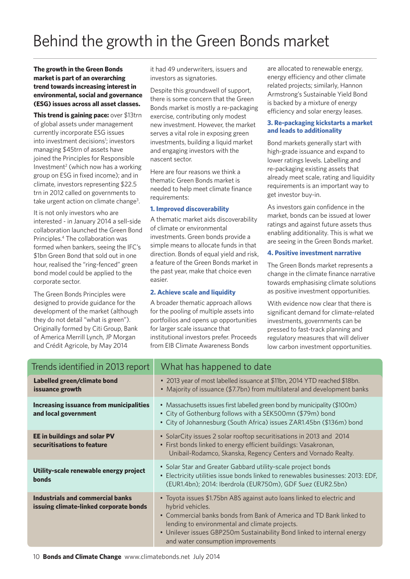#### **The growth in the Green Bonds market is part of an overarching trend towards increasing interest in environmental, social and governance (ESG) issues across all asset classes.**

**This trend is gaining pace:** over \$13trn of global assets under management currently incorporate ESG issues into investment decisions<sup>1</sup>; investors managing \$45trn of assets have joined the Principles for Responsible Investment<sup>2</sup> (which now has a working group on ESG in fixed income); and in climate, investors representing \$22.5 trn in 2012 called on governments to take urgent action on climate change<sup>3</sup>.

It is not only investors who are interested - in January 2014 a sell-side collaboration launched the Green Bond Principles.4 The collaboration was formed when bankers, seeing the IFC's \$1bn Green Bond that sold out in one hour, realised the "ring-fenced" green bond model could be applied to the corporate sector.

The Green Bonds Principles were designed to provide guidance for the development of the market (although they do not detail "what is green"). Originally formed by Citi Group, Bank of America Merrill Lynch, JP Morgan and Crédit Agricole, by May 2014

it had 49 underwriters, issuers and investors as signatories.

Despite this groundswell of support, there is some concern that the Green Bonds market is mostly a re-packaging exercise, contributing only modest new investment. However, the market serves a vital role in exposing green investments, building a liquid market and engaging investors with the nascent sector.

Here are four reasons we think a thematic Green Bonds market is needed to help meet climate finance requirements:

#### **1. Improved discoverability**

A thematic market aids discoverability of climate or environmental investments. Green bonds provide a simple means to allocate funds in that direction. Bonds of equal yield and risk, a feature of the Green Bonds market in the past year, make that choice even easier.

#### **2. Achieve scale and liquidity**

A broader thematic approach allows for the pooling of multiple assets into portfoilios and opens up opportunities for larger scale issuance that institutional investors prefer. Proceeds from EIB Climate Awareness Bonds

are allocated to renewable energy, energy efficiency and other climate related projects; similarly, Hannon Armstrong's Sustainable Yield Bond is backed by a mixture of energy efficiency and solar energy leases.

#### **3. Re-packaging kickstarts a market and leads to additionality**

Bond markets generally start with high-grade issuance and expand to lower ratings levels. Labelling and re-packaging existing assets that already meet scale, rating and liquidity requirements is an important way to get investor buy-in.

As investors gain confidence in the market, bonds can be issued at lower ratings and against future assets thus enabling additionality. This is what we are seeing in the Green Bonds market.

#### **4. Positive investment narrative**

The Green Bonds market represents a change in the climate finance narrative towards emphasising climate solutions as positive investment opportunities.

With evidence now clear that there is significant demand for climate-related investments, governments can be pressed to fast-track planning and regulatory measures that will deliver low carbon investment opportunities.

| Trends identified in 2013 report                                           | What has happened to date                                                                                                                                                                                                                                                                                                            |
|----------------------------------------------------------------------------|--------------------------------------------------------------------------------------------------------------------------------------------------------------------------------------------------------------------------------------------------------------------------------------------------------------------------------------|
| Labelled green/climate bond<br>issuance growth                             | • 2013 year of most labelled issuance at \$11bn, 2014 YTD reached \$18bn.<br>• Majority of issuance (\$7.7bn) from multilateral and development banks                                                                                                                                                                                |
| <b>Increasing issuance from municipalities</b><br>and local government     | • Massachusetts issues first labelled green bond by municipality (\$100m)<br>• City of Gothenburg follows with a SEK500mn (\$79m) bond<br>• City of Johannesburg (South Africa) issues ZAR1.45bn (\$136m) bond                                                                                                                       |
| EE in buildings and solar PV<br>securitisations to feature                 | • SolarCity issues 2 solar rooftop securitisations in 2013 and 2014<br>• First bonds linked to energy efficient buildings: Vasakronan,<br>Unibail-Rodamco, Skanska, Regency Centers and Vornado Realty.                                                                                                                              |
| Utility-scale renewable energy project<br><b>bonds</b>                     | • Solar Star and Greater Gabbard utility-scale project bonds<br>. Electricity utilities issue bonds linked to renewables businesses: 2013: EDF,<br>(EUR1.4bn); 2014: Iberdrola (EUR750m), GDF Suez (EUR2.5bn)                                                                                                                        |
| Industrials and commercial banks<br>issuing climate-linked corporate bonds | • Toyota issues \$1.75bn ABS against auto loans linked to electric and<br>hybrid vehicles.<br>• Commercial banks bonds from Bank of America and TD Bank linked to<br>lending to environmental and climate projects.<br>• Unilever issues GBP250m Sustainability Bond linked to internal energy<br>and water consumption improvements |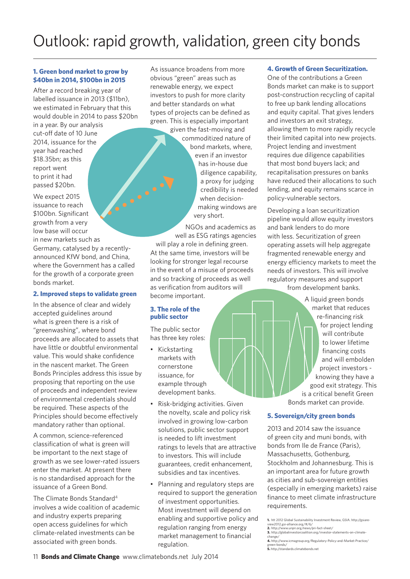## Outlook: rapid growth, validation, green city bonds

#### **1. Green bond market to grow by \$40bn in 2014, \$100bn in 2015**

After a record breaking year of labelled issuance in 2013 (\$11bn), we estimated in February that this would double in 2014 to pass \$20bn

in a year. By our analysis cut-off date of 10 June 2014, issuance for the year had reached \$18.35bn; as this report went to print it had passed \$20bn.

We expect 2015 issuance to reach \$100bn. Significant growth from a very low base will occur in new markets such as

Germany, catalysed by a recentlyannounced KfW bond, and China, where the Government has a called for the growth of a corporate green bonds market.

#### **2. Improved steps to validate green**

In the absence of clear and widely accepted guidelines around what is green there is a risk of "greenwashing", where bond proceeds are allocated to assets that have little or doubtful environmental value. This would shake confidence in the nascent market. The Green Bonds Principles address this issue by proposing that reporting on the use of proceeds and independent review of environmental credentials should be required. These aspects of the Principles should become effectively mandatory rather than optional.

A common, science-referenced classification of what is green will be important to the next stage of growth as we see lower-rated issuers enter the market. At present there is no standardised approach for the issuance of a Green Bond.

The Climate Bonds Standard4 involves a wide coalition of academic and industry experts preparing open access guidelines for which climate-related investments can be associated with green bonds.

As issuance broadens from more obvious "green" areas such as renewable energy, we expect investors to push for more clarity and better standards on what types of projects can be defined as green. This is especially important

> given the fast-moving and commoditized nature of bond markets, where, even if an investor has in-house due diligence capability, a proxy for judging credibility is needed when decisionmaking windows are very short.

NGOs and academics as well as ESG ratings agencies

will play a role in defining green. At the same time, investors will be looking for stronger legal recourse in the event of a misuse of proceeds and so tracking of proceeds as well as verification from auditors will become important.

#### **3. The role of the public sector**

**A.M. 2009** 

The public sector has three key roles:

- Kickstarting markets with cornerstone issuance, for example through development banks.
- Risk-bridging activities. Given the novelty, scale and policy risk involved in growing low-carbon solutions, public sector support is needed to lift investment ratings to levels that are attractive to investors. This will include guarantees, credit enhancement, subsidies and tax incentives.
- Planning and regulatory steps are required to support the generation of investment opportunities. Most investment will depend on enabling and supportive policy and regulation ranging from energy market management to financial regulation.

#### **4. Growth of Green Securitization.**

One of the contributions a Green Bonds market can make is to support post-construction recycling of capital to free up bank lending allocations and equity capital. That gives lenders and investors an exit strategy, allowing them to more rapidly recycle their limited capital into new projects. Project lending and investment requires due diligence capabilities that most bond buyers lack; and recapitalisation pressures on banks have reduced their allocations to such lending, and equity remains scarce in policy-vulnerable sectors.

Developing a loan securitization pipeline would allow equity investors and bank lenders to do more with less. Securitization of green operating assets will help aggregate fragmented renewable energy and energy efficiency markets to meet the needs of investors. This will involve regulatory measures and support from development banks.

> A liquid green bonds market that reduces re-financing risk for project lending will contribute to lower lifetime financing costs and will embolden project investors knowing they have a good exit strategy. This is a critical benefit Green Bonds market can provide.

#### **5. Sovereign/city green bonds**

2013 and 2014 saw the issuance of green city and muni bonds, with bonds from Ile de France (Paris), Massachusetts, Gothenburg, Stockholm and Johannesburg. This is an important area for future growth as cities and sub-sovereign entities (especially in emerging markets) raise finance to meet climate infrastructure requirements.

**1.** htt 2012 Global Sustainability Investment Review, GSIA. http://gsiare-

view2012.gsi-alliance.org/#/6/ **2.** http://www.unpri.org/news/pri-fact-sheet/ **3.** http://globalinvestorcoalition.org/investor-statements-on-climate-

change/ **4.** http://www.icmagroup.org/Regulatory-Policy-and-Market-Practice/

green-bonds/ **5.** http://standards.climatebonds.net